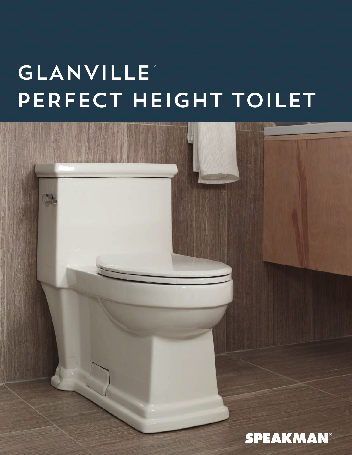## **GLANVILLE** PERFECT HEIGHT TOILET